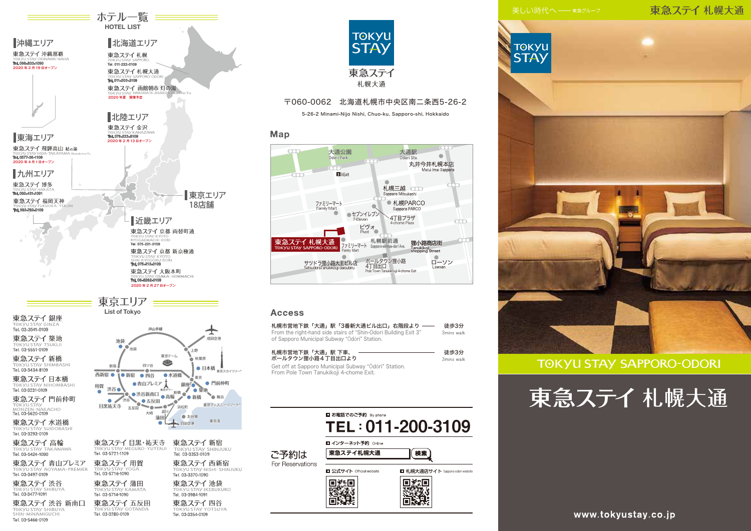### 東急ステイ札幌大通



### **TOKYU STAY SAPPORO-ODORI**





Tel. 03-3354-0109

Tel. 03-3280-0109

■北陸エリア

東急ステイ金沢

TOKYU STAY SA<br>**Tel. 011-200-3109** 

Tel. 011-222-0109

2020 年夏 開業予定

北海道エリア

東急ステイ札幌大通

東急ステイ札幌

≡ ホテル一覧 ≡≡ HOTEL LIST

**函館朝市 灯の湯**

**HAKODATE-ASAICHI Akari-no-Yu**

Tel. 076-223-8109 東海エリア 2020 年 2 月 13 日オープン

2020 年 4 月 1日オープン Tel. 0577-36-1109

東急ステイ 飛騨高山 結の湯

沖縄エリア

東急ステイ 沖縄那覇

Tel. 098-833-1090 2020 年 2 月 19 日オープン

九州エリア

東急ステイ 博多

Tel. 092-431-1091 Tel. 092-762-0109

Tel. 03-5466-0109

東京エリア



### 〒060-0062 北海道札幌市中央区南二条西5-26-2

5-26-2 Minami-Nijo Nishi, Chuo-ku, Sapporo-shi, Hokkaido

### Map



#### **Access**

| 札幌市営地下鉄「大通」駅 下車、<br>ポールタウン狸小路4丁目出口より<br>Get off at Sapporo Municipal Subway "Odori" Station.<br>From Pole Town Tanukikoji 4-chome Exit.<br>■ お電話でのご予約 By phone<br>TEL: 011-200-3109<br>■ インターネット予約 Online<br>東急ステイ札幌大通<br>ご予約は<br>For Reservations<br>□ 公式サイト Official website<br>■ 札幌大通店サイト Sapporo-odori website | 札幌市営地下鉄「大通」駅「3番新大通ビル出口」右階段より<br>From the right-hand side stairs of "Shin-Odori Building Exit 3"<br>of Sapporo Municipal Subway "Odori" Station. | 徒歩3分<br>3mins walk |
|--------------------------------------------------------------------------------------------------------------------------------------------------------------------------------------------------------------------------------------------------------------------------------------------------------------------|-------------------------------------------------------------------------------------------------------------------------------------------------|--------------------|
|                                                                                                                                                                                                                                                                                                                    |                                                                                                                                                 | 徒歩3分<br>3mins walk |
|                                                                                                                                                                                                                                                                                                                    |                                                                                                                                                 |                    |

www.tokyustay.co.jp